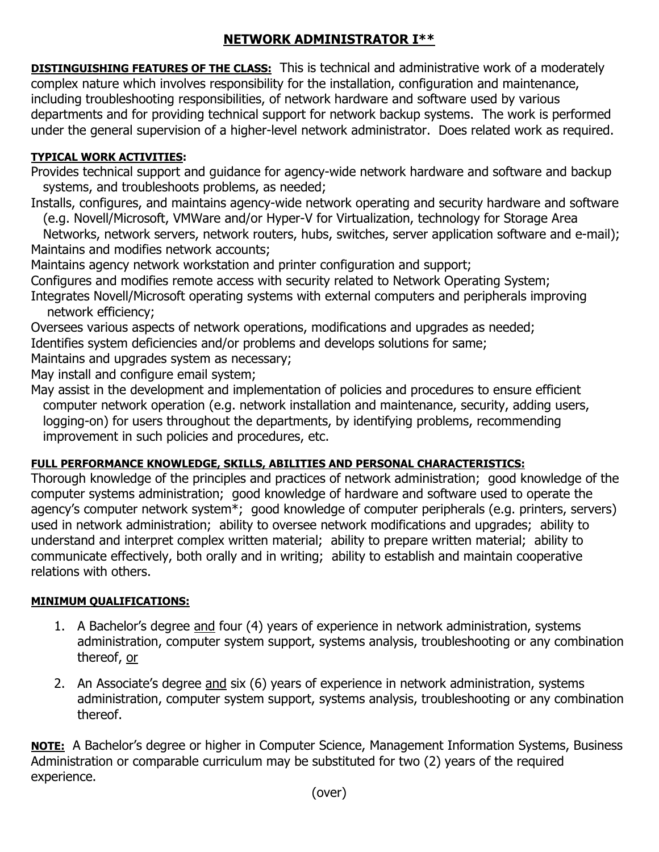# **NETWORK ADMINISTRATOR I\*\***

**DISTINGUISHING FEATURES OF THE CLASS:** This is technical and administrative work of a moderately complex nature which involves responsibility for the installation, configuration and maintenance, including troubleshooting responsibilities, of network hardware and software used by various departments and for providing technical support for network backup systems. The work is performed under the general supervision of a higher-level network administrator. Does related work as required.

## **TYPICAL WORK ACTIVITIES:**

Provides technical support and guidance for agency-wide network hardware and software and backup systems, and troubleshoots problems, as needed;

Installs, configures, and maintains agency-wide network operating and security hardware and software (e.g. Novell/Microsoft, VMWare and/or Hyper-V for Virtualization, technology for Storage Area

 Networks, network servers, network routers, hubs, switches, server application software and e-mail); Maintains and modifies network accounts;

Maintains agency network workstation and printer configuration and support;

Configures and modifies remote access with security related to Network Operating System;

Integrates Novell/Microsoft operating systems with external computers and peripherals improving network efficiency;

Oversees various aspects of network operations, modifications and upgrades as needed;

Identifies system deficiencies and/or problems and develops solutions for same;

Maintains and upgrades system as necessary;

May install and configure email system;

May assist in the development and implementation of policies and procedures to ensure efficient computer network operation (e.g. network installation and maintenance, security, adding users, logging-on) for users throughout the departments, by identifying problems, recommending improvement in such policies and procedures, etc.

### **FULL PERFORMANCE KNOWLEDGE, SKILLS, ABILITIES AND PERSONAL CHARACTERISTICS:**

Thorough knowledge of the principles and practices of network administration; good knowledge of the computer systems administration; good knowledge of hardware and software used to operate the agency's computer network system\*; good knowledge of computer peripherals (e.g. printers, servers) used in network administration; ability to oversee network modifications and upgrades; ability to understand and interpret complex written material; ability to prepare written material; ability to communicate effectively, both orally and in writing; ability to establish and maintain cooperative relations with others.

### **MINIMUM QUALIFICATIONS:**

- 1. A Bachelor's degree and four (4) years of experience in network administration, systems administration, computer system support, systems analysis, troubleshooting or any combination thereof, or
- 2. An Associate's degree and six (6) years of experience in network administration, systems administration, computer system support, systems analysis, troubleshooting or any combination thereof.

**NOTE:** A Bachelor's degree or higher in Computer Science, Management Information Systems, Business Administration or comparable curriculum may be substituted for two (2) years of the required experience.